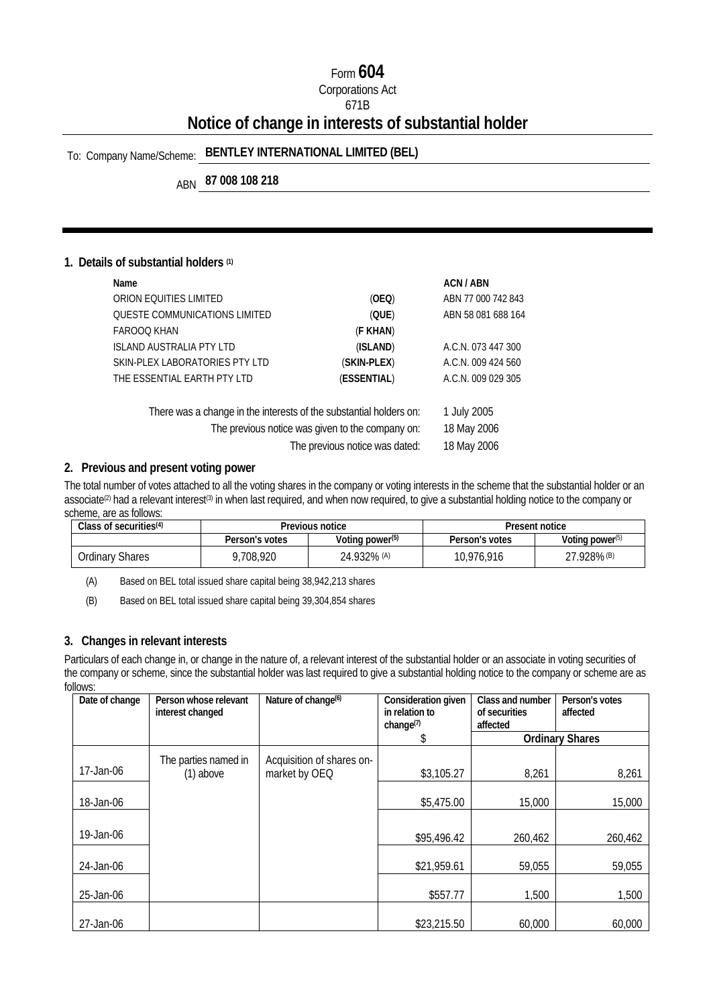### Form **604**

Corporations Act

#### 671B

## **Notice of change in interests of substantial holder**

## To: Company Name/Scheme: **BENTLEY INTERNATIONAL LIMITED (BEL)**

ABN **87 008 108 218** 

#### **1. Details of substantial holders (1)**

| Name                                                               |                                | ACN / ABN          |
|--------------------------------------------------------------------|--------------------------------|--------------------|
| ORION EQUITIES LIMITED                                             | (OEQ)                          | ABN 77 000 742 843 |
| QUESTE COMMUNICATIONS LIMITED                                      | (QUE)                          | ABN 58 081 688 164 |
| FAROOO KHAN                                                        | (F KHAN)                       |                    |
| <b>ISLAND AUSTRALIA PTY LTD</b>                                    | (ISLAND)                       | A.C.N. 073 447 300 |
| SKIN-PLEX LABORATORIES PTY LTD                                     | (SKIN-PLEX)                    | A.C.N. 009 424 560 |
| THE ESSENTIAL EARTH PTY LTD                                        | (ESSENTIAL)                    | A.C.N. 009 029 305 |
| There was a change in the interests of the substantial holders on: |                                | 1 July 2005        |
| The previous notice was given to the company on:                   |                                | 18 May 2006        |
|                                                                    | The previous notice was dated: | 18 May 2006        |

#### **2. Previous and present voting power**

The total number of votes attached to all the voting shares in the company or voting interests in the scheme that the substantial holder or an associate<sup>(2)</sup> had a relevant interest<sup>(3)</sup> in when last required, and when now required, to give a substantial holding notice to the company or scheme, are as follows:

| Class of securities $(4)$ | Previous notice |                             | Present notice |                    |
|---------------------------|-----------------|-----------------------------|----------------|--------------------|
|                           | Person's votes  | Voting power <sup>(5)</sup> | Person's votes | Voting power $(5)$ |
| Ordinarv Shares           | .708.920        | 24.932% (A)                 | 10,976,916     | 27.928% (B)        |

(A) Based on BEL total issued share capital being 38,942,213 shares

(B) Based on BEL total issued share capital being 39,304,854 shares

#### **3. Changes in relevant interests**

Particulars of each change in, or change in the nature of, a relevant interest of the substantial holder or an associate in voting securities of the company or scheme, since the substantial holder was last required to give a substantial holding notice to the company or scheme are as follows:

| Date of change | Person whose relevant<br>interest changed | Nature of change <sup>(6)</sup> | Consideration given<br>in relation to | Class and number<br>of securities | Person's votes<br>affected |
|----------------|-------------------------------------------|---------------------------------|---------------------------------------|-----------------------------------|----------------------------|
|                |                                           |                                 | change <sup>(7)</sup>                 | affected                          |                            |
|                |                                           |                                 | S.                                    |                                   | <b>Ordinary Shares</b>     |
|                | The parties named in                      | Acquisition of shares on-       |                                       |                                   |                            |
| $17$ -Jan-06   | $(1)$ above                               | market by OEQ                   | \$3,105.27                            | 8,261                             | 8,261                      |
| 18-Jan-06      |                                           |                                 | \$5,475.00                            | 15,000                            | 15,000                     |
| 19-Jan-06      |                                           |                                 | \$95,496.42                           | 260,462                           | 260,462                    |
| 24-Jan-06      |                                           |                                 | \$21,959.61                           | 59,055                            | 59,055                     |
| 25-Jan-06      |                                           |                                 | \$557.77                              | 1,500                             | 1,500                      |
| 27-Jan-06      |                                           |                                 | \$23,215.50                           | 60,000                            | 60,000                     |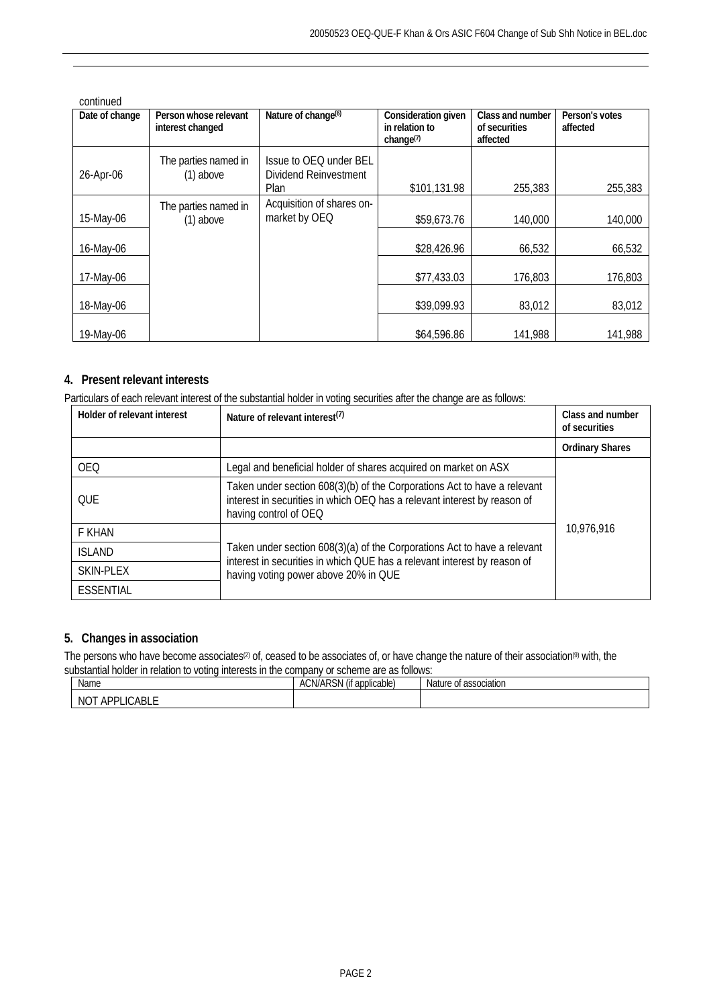| continued      |                       |                                 |                     |                  |                |  |
|----------------|-----------------------|---------------------------------|---------------------|------------------|----------------|--|
| Date of change | Person whose relevant | Nature of change <sup>(6)</sup> | Consideration given | Class and number | Person's votes |  |
|                | interest changed      |                                 | in relation to      | of securities    | affected       |  |
|                |                       |                                 | change $(7)$        | affected         |                |  |
|                | The parties named in  | Issue to OEQ under BEL          |                     |                  |                |  |
|                | $(1)$ above           | Dividend Reinvestment           |                     |                  |                |  |
| 26-Apr-06      |                       |                                 |                     |                  |                |  |
|                |                       | Plan                            | \$101,131.98        | 255,383          | 255,383        |  |
|                | The parties named in  | Acquisition of shares on-       |                     |                  |                |  |
| 15-May-06      | $(1)$ above           | market by OEQ                   | \$59,673.76         | 140,000          | 140,000        |  |
|                |                       |                                 |                     |                  |                |  |
| 16-May-06      |                       |                                 | \$28,426.96         | 66,532           | 66,532         |  |
|                |                       |                                 |                     |                  |                |  |
|                |                       |                                 | \$77,433.03         | 176,803          | 176,803        |  |
| 17-May-06      |                       |                                 |                     |                  |                |  |
|                |                       |                                 |                     |                  |                |  |
| 18-May-06      |                       |                                 | \$39,099.93         | 83,012           | 83,012         |  |
|                |                       |                                 |                     |                  |                |  |
| 19-May-06      |                       |                                 | \$64,596.86         | 141,988          | 141,988        |  |

#### **4. Present relevant interests**

Particulars of each relevant interest of the substantial holder in voting securities after the change are as follows:

| Holder of relevant interest | Nature of relevant interest <sup>(7)</sup>                                                                                                                                    | Class and number<br>of securities |  |
|-----------------------------|-------------------------------------------------------------------------------------------------------------------------------------------------------------------------------|-----------------------------------|--|
|                             |                                                                                                                                                                               | <b>Ordinary Shares</b>            |  |
| <b>OEQ</b>                  | Legal and beneficial holder of shares acquired on market on ASX                                                                                                               |                                   |  |
| OUE                         | Taken under section 608(3)(b) of the Corporations Act to have a relevant<br>interest in securities in which OEQ has a relevant interest by reason of<br>having control of OEQ |                                   |  |
| F KHAN                      |                                                                                                                                                                               | 10,976,916                        |  |
| <b>ISLAND</b>               | Taken under section 608(3)(a) of the Corporations Act to have a relevant<br>interest in securities in which QUE has a relevant interest by reason of                          |                                   |  |
| SKIN-PLEX                   | having voting power above 20% in QUE                                                                                                                                          |                                   |  |
| <b>ESSENTIAL</b>            |                                                                                                                                                                               |                                   |  |

#### **5. Changes in association**

The persons who have become associates<sup>(2)</sup> of, ceased to be associates of, or have change the nature of their association<sup>(9)</sup> with, the substantial holder in relation to voting interests in the company or scheme are as follows:

| Name                                          | <b>ACN/ARSN</b><br>$\sqrt{2}$<br>applicable) :<br>u | re of association<br><b>Nature</b> |
|-----------------------------------------------|-----------------------------------------------------|------------------------------------|
| `ABL∟<br>NO <sup>-</sup><br><b>ADDI</b><br>nг |                                                     |                                    |